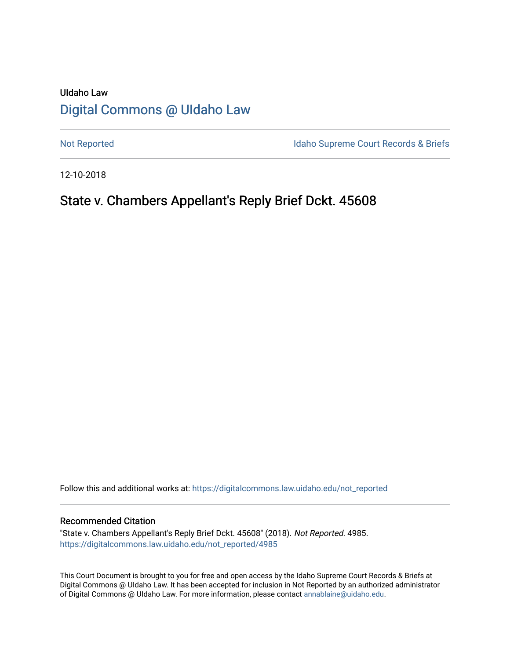# UIdaho Law [Digital Commons @ UIdaho Law](https://digitalcommons.law.uidaho.edu/)

[Not Reported](https://digitalcommons.law.uidaho.edu/not_reported) **Idaho Supreme Court Records & Briefs** 

12-10-2018

# State v. Chambers Appellant's Reply Brief Dckt. 45608

Follow this and additional works at: [https://digitalcommons.law.uidaho.edu/not\\_reported](https://digitalcommons.law.uidaho.edu/not_reported?utm_source=digitalcommons.law.uidaho.edu%2Fnot_reported%2F4985&utm_medium=PDF&utm_campaign=PDFCoverPages) 

#### Recommended Citation

"State v. Chambers Appellant's Reply Brief Dckt. 45608" (2018). Not Reported. 4985. [https://digitalcommons.law.uidaho.edu/not\\_reported/4985](https://digitalcommons.law.uidaho.edu/not_reported/4985?utm_source=digitalcommons.law.uidaho.edu%2Fnot_reported%2F4985&utm_medium=PDF&utm_campaign=PDFCoverPages)

This Court Document is brought to you for free and open access by the Idaho Supreme Court Records & Briefs at Digital Commons @ UIdaho Law. It has been accepted for inclusion in Not Reported by an authorized administrator of Digital Commons @ UIdaho Law. For more information, please contact [annablaine@uidaho.edu](mailto:annablaine@uidaho.edu).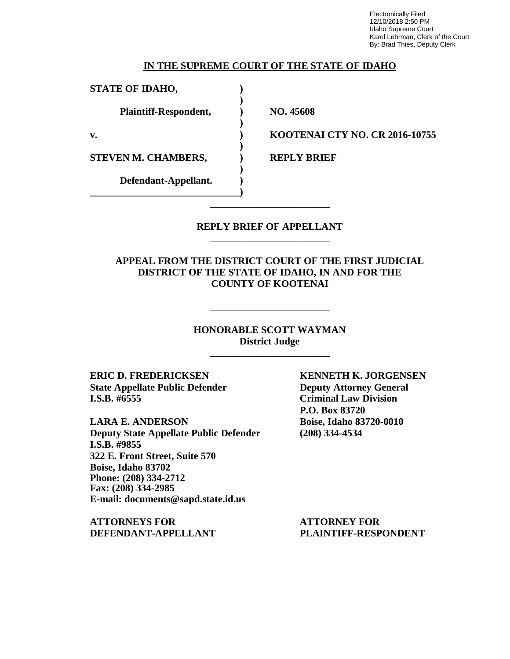Electronically Filed 12/10/2018 2:50 PM Idaho Supreme Court Karel Lehrman, Clerk of the Court By: Brad Thies, Deputy Clerk

#### **IN THE SUPREME COURT OF THE STATE OF IDAHO**

**)**

**)**

**)**

**)**

**STATE OF IDAHO, ) Plaintiff-Respondent, ) NO. 45608**

**STEVEN M. CHAMBERS,**  $\qquad$  **) REPLY BRIEF** 

**Defendant-Appellant. ) \_\_\_\_\_\_\_\_\_\_\_\_\_\_\_\_\_\_\_\_\_\_\_\_\_\_\_\_\_\_)**

**v. ) KOOTENAI CTY NO. CR 2016-10755**

#### **REPLY BRIEF OF APPELLANT** \_\_\_\_\_\_\_\_\_\_\_\_\_\_\_\_\_\_\_\_\_\_\_\_

\_\_\_\_\_\_\_\_\_\_\_\_\_\_\_\_\_\_\_\_\_\_\_\_

**APPEAL FROM THE DISTRICT COURT OF THE FIRST JUDICIAL DISTRICT OF THE STATE OF IDAHO, IN AND FOR THE COUNTY OF KOOTENAI**

> **HONORABLE SCOTT WAYMAN District Judge**

> > \_\_\_\_\_\_\_\_\_\_\_\_\_\_\_\_\_\_\_\_\_\_\_\_

\_\_\_\_\_\_\_\_\_\_\_\_\_\_\_\_\_\_\_\_\_\_\_\_

**ERIC D. FREDERICKSEN KENNETH K. JORGENSEN State Appellate Public Defender Deputy Attorney General I.S.B. #6555 Criminal Law Division**

**LARA E. ANDERSON Boise, Idaho 83720-0010 Deputy State Appellate Public Defender (208) 334-4534 I.S.B. #9855 322 E. Front Street, Suite 570 Boise, Idaho 83702 Phone: (208) 334-2712 Fax: (208) 334-2985 E-mail: documents@sapd.state.id.us**

**ATTORNEYS FOR ATTORNEY FOR DEFENDANT-APPELLANT PLAINTIFF-RESPONDENT**

**P.O. Box 83720**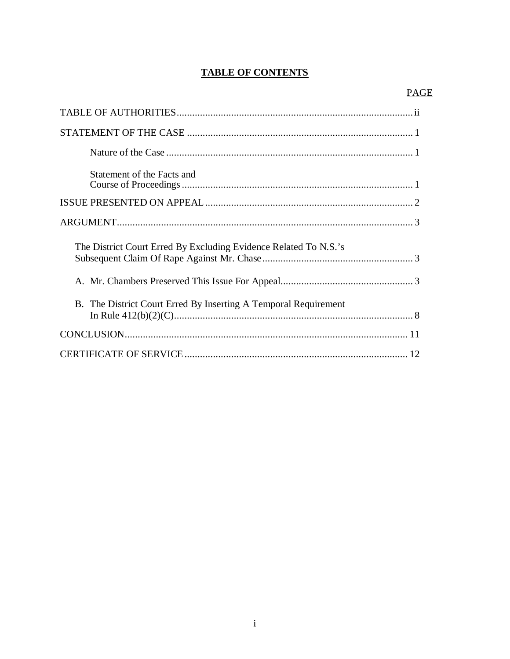## **TABLE OF CONTENTS**

| Statement of the Facts and                                       |
|------------------------------------------------------------------|
|                                                                  |
|                                                                  |
|                                                                  |
| The District Court Erred By Excluding Evidence Related To N.S.'s |
|                                                                  |
| B. The District Court Erred By Inserting A Temporal Requirement  |
|                                                                  |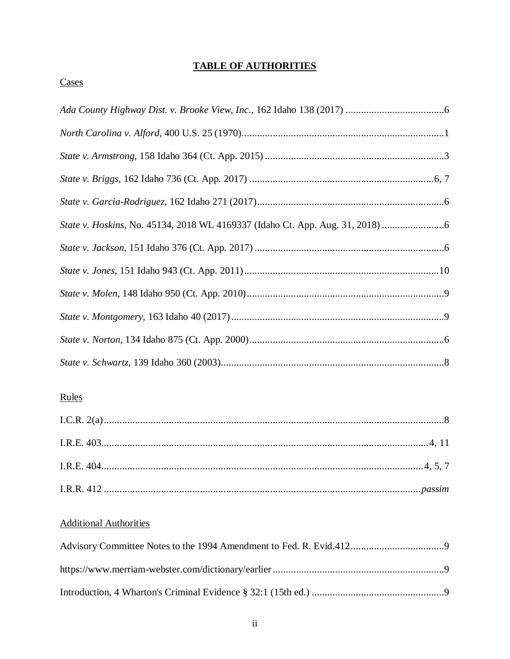## **TABLE OF AUTHORITIES**

#### Cases

| State v. Hoskins, No. 45134, 2018 WL 4169337 (Idaho Ct. App. Aug. 31, 2018) |
|-----------------------------------------------------------------------------|
|                                                                             |
|                                                                             |
|                                                                             |
|                                                                             |
|                                                                             |
|                                                                             |
|                                                                             |
|                                                                             |

# 

# **Additional Authorities**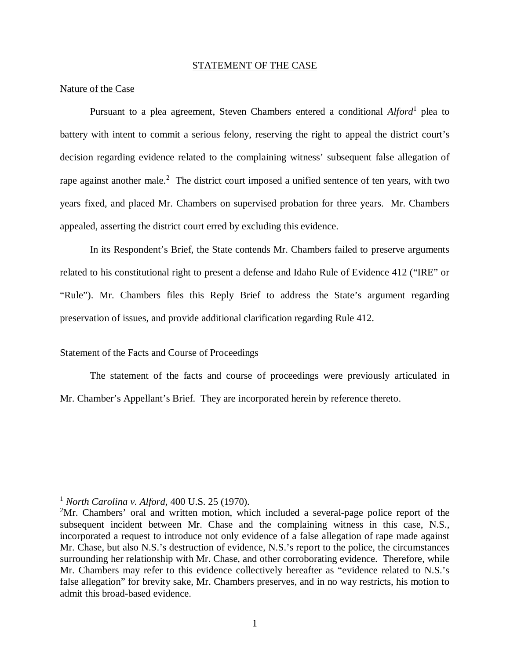#### STATEMENT OF THE CASE

#### Nature of the Case

Pursuant to a plea agreement, Steven Chambers entered a conditional *Alford*<sup>[1](#page-4-0)</sup> plea to battery with intent to commit a serious felony, reserving the right to appeal the district court's decision regarding evidence related to the complaining witness' subsequent false allegation of rape against another male.<sup>[2](#page-4-1)</sup> The district court imposed a unified sentence of ten years, with two years fixed, and placed Mr. Chambers on supervised probation for three years. Mr. Chambers appealed, asserting the district court erred by excluding this evidence.

In its Respondent's Brief, the State contends Mr. Chambers failed to preserve arguments related to his constitutional right to present a defense and Idaho Rule of Evidence 412 ("IRE" or "Rule"). Mr. Chambers files this Reply Brief to address the State's argument regarding preservation of issues, and provide additional clarification regarding Rule 412.

#### Statement of the Facts and Course of Proceedings

The statement of the facts and course of proceedings were previously articulated in Mr. Chamber's Appellant's Brief. They are incorporated herein by reference thereto.

<span id="page-4-0"></span><sup>1</sup> *North Carolina v. Alford*, 400 U.S. 25 (1970).

<span id="page-4-1"></span><sup>2</sup>Mr. Chambers' oral and written motion, which included a several-page police report of the subsequent incident between Mr. Chase and the complaining witness in this case, N.S., incorporated a request to introduce not only evidence of a false allegation of rape made against Mr. Chase, but also N.S.'s destruction of evidence, N.S.'s report to the police, the circumstances surrounding her relationship with Mr. Chase, and other corroborating evidence. Therefore, while Mr. Chambers may refer to this evidence collectively hereafter as "evidence related to N.S.'s false allegation" for brevity sake, Mr. Chambers preserves, and in no way restricts, his motion to admit this broad-based evidence.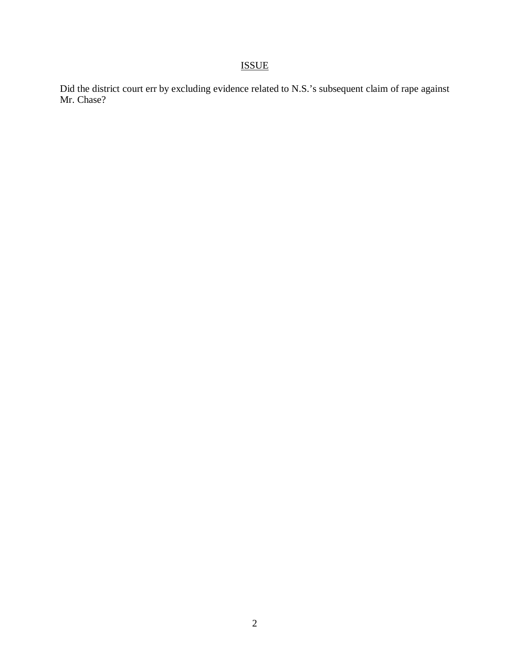# ISSUE

Did the district court err by excluding evidence related to N.S.'s subsequent claim of rape against Mr. Chase?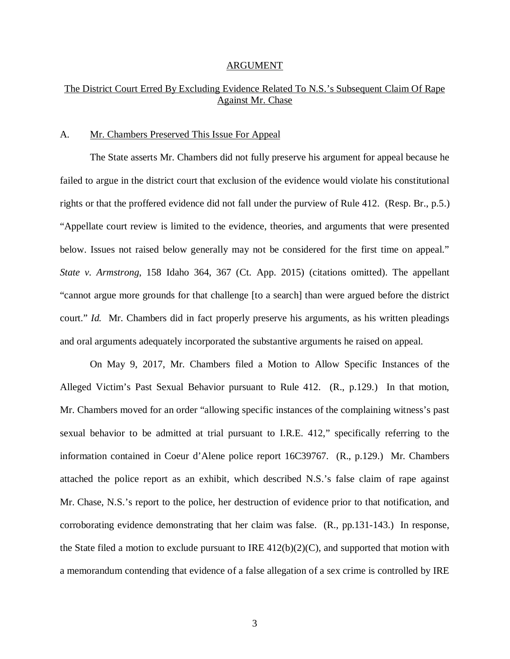#### ARGUMENT

## The District Court Erred By Excluding Evidence Related To N.S.'s Subsequent Claim Of Rape Against Mr. Chase

#### A. Mr. Chambers Preserved This Issue For Appeal

The State asserts Mr. Chambers did not fully preserve his argument for appeal because he failed to argue in the district court that exclusion of the evidence would violate his constitutional rights or that the proffered evidence did not fall under the purview of Rule 412. (Resp. Br., p.5.) "Appellate court review is limited to the evidence, theories, and arguments that were presented below. Issues not raised below generally may not be considered for the first time on appeal." *State v. Armstrong*, 158 Idaho 364, 367 (Ct. App. 2015) (citations omitted). The appellant "cannot argue more grounds for that challenge [to a search] than were argued before the district court." *Id.* Mr. Chambers did in fact properly preserve his arguments, as his written pleadings and oral arguments adequately incorporated the substantive arguments he raised on appeal.

On May 9, 2017, Mr. Chambers filed a Motion to Allow Specific Instances of the Alleged Victim's Past Sexual Behavior pursuant to Rule 412. (R., p.129.) In that motion, Mr. Chambers moved for an order "allowing specific instances of the complaining witness's past sexual behavior to be admitted at trial pursuant to I.R.E. 412," specifically referring to the information contained in Coeur d'Alene police report 16C39767. (R., p.129.) Mr. Chambers attached the police report as an exhibit, which described N.S.'s false claim of rape against Mr. Chase, N.S.'s report to the police, her destruction of evidence prior to that notification, and corroborating evidence demonstrating that her claim was false. (R., pp.131-143.) In response, the State filed a motion to exclude pursuant to IRE  $412(b)(2)(C)$ , and supported that motion with a memorandum contending that evidence of a false allegation of a sex crime is controlled by IRE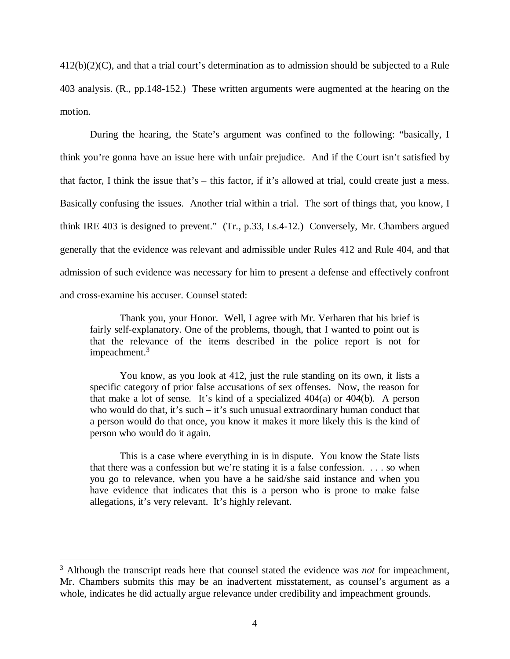412(b)(2)(C), and that a trial court's determination as to admission should be subjected to a Rule 403 analysis. (R., pp.148-152.) These written arguments were augmented at the hearing on the motion.

During the hearing, the State's argument was confined to the following: "basically, I think you're gonna have an issue here with unfair prejudice. And if the Court isn't satisfied by that factor, I think the issue that's – this factor, if it's allowed at trial, could create just a mess. Basically confusing the issues. Another trial within a trial. The sort of things that, you know, I think IRE 403 is designed to prevent." (Tr., p.33, Ls.4-12.) Conversely, Mr. Chambers argued generally that the evidence was relevant and admissible under Rules 412 and Rule 404, and that admission of such evidence was necessary for him to present a defense and effectively confront and cross-examine his accuser. Counsel stated:

Thank you, your Honor. Well, I agree with Mr. Verharen that his brief is fairly self-explanatory. One of the problems, though, that I wanted to point out is that the relevance of the items described in the police report is not for impeachment.<sup>[3](#page-7-0)</sup>

You know, as you look at 412, just the rule standing on its own, it lists a specific category of prior false accusations of sex offenses. Now, the reason for that make a lot of sense. It's kind of a specialized  $404(a)$  or  $404(b)$ . A person who would do that, it's such – it's such unusual extraordinary human conduct that a person would do that once, you know it makes it more likely this is the kind of person who would do it again.

This is a case where everything in is in dispute. You know the State lists that there was a confession but we're stating it is a false confession. . . . so when you go to relevance, when you have a he said/she said instance and when you have evidence that indicates that this is a person who is prone to make false allegations, it's very relevant. It's highly relevant.

<span id="page-7-0"></span><sup>&</sup>lt;sup>3</sup> Although the transcript reads here that counsel stated the evidence was *not* for impeachment, Mr. Chambers submits this may be an inadvertent misstatement, as counsel's argument as a whole, indicates he did actually argue relevance under credibility and impeachment grounds.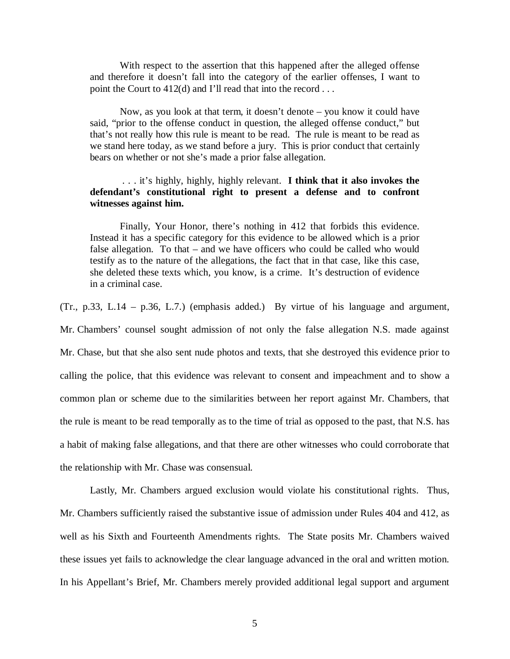With respect to the assertion that this happened after the alleged offense and therefore it doesn't fall into the category of the earlier offenses, I want to point the Court to 412(d) and I'll read that into the record . . .

Now, as you look at that term, it doesn't denote – you know it could have said, "prior to the offense conduct in question, the alleged offense conduct," but that's not really how this rule is meant to be read. The rule is meant to be read as we stand here today, as we stand before a jury. This is prior conduct that certainly bears on whether or not she's made a prior false allegation.

## . . . it's highly, highly, highly relevant. **I think that it also invokes the defendant's constitutional right to present a defense and to confront witnesses against him.**

Finally, Your Honor, there's nothing in 412 that forbids this evidence. Instead it has a specific category for this evidence to be allowed which is a prior false allegation. To that – and we have officers who could be called who would testify as to the nature of the allegations, the fact that in that case, like this case, she deleted these texts which, you know, is a crime. It's destruction of evidence in a criminal case.

(Tr., p.33, L.14 – p.36, L.7.) (emphasis added.) By virtue of his language and argument,

Mr. Chambers' counsel sought admission of not only the false allegation N.S. made against Mr. Chase, but that she also sent nude photos and texts, that she destroyed this evidence prior to calling the police, that this evidence was relevant to consent and impeachment and to show a common plan or scheme due to the similarities between her report against Mr. Chambers, that the rule is meant to be read temporally as to the time of trial as opposed to the past, that N.S. has a habit of making false allegations, and that there are other witnesses who could corroborate that the relationship with Mr. Chase was consensual.

Lastly, Mr. Chambers argued exclusion would violate his constitutional rights. Thus, Mr. Chambers sufficiently raised the substantive issue of admission under Rules 404 and 412, as well as his Sixth and Fourteenth Amendments rights. The State posits Mr. Chambers waived these issues yet fails to acknowledge the clear language advanced in the oral and written motion. In his Appellant's Brief, Mr. Chambers merely provided additional legal support and argument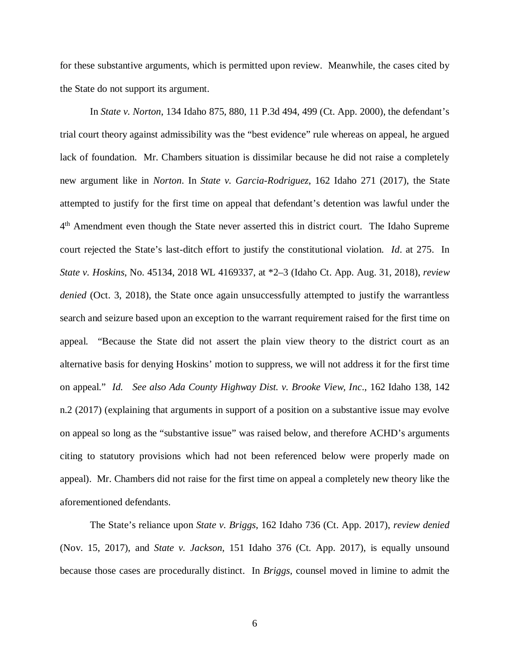for these substantive arguments, which is permitted upon review. Meanwhile, the cases cited by the State do not support its argument.

In *State v. Norton*, 134 Idaho 875, 880, 11 P.3d 494, 499 (Ct. App. 2000), the defendant's trial court theory against admissibility was the "best evidence" rule whereas on appeal, he argued lack of foundation. Mr. Chambers situation is dissimilar because he did not raise a completely new argument like in *Norton*. In *State v. Garcia-Rodriguez*, 162 Idaho 271 (2017), the State attempted to justify for the first time on appeal that defendant's detention was lawful under the 4<sup>th</sup> Amendment even though the State never asserted this in district court. The Idaho Supreme court rejected the State's last-ditch effort to justify the constitutional violation. *Id*. at 275. In *State v. Hoskins*, No. 45134, 2018 WL 4169337, at \*2–3 (Idaho Ct. App. Aug. 31, 2018), *review denied* (Oct. 3, 2018), the State once again unsuccessfully attempted to justify the warrantless search and seizure based upon an exception to the warrant requirement raised for the first time on appeal. "Because the State did not assert the plain view theory to the district court as an alternative basis for denying Hoskins' motion to suppress, we will not address it for the first time on appeal." *Id. See also Ada County Highway Dist. v. Brooke View, Inc*., 162 Idaho 138, 142 n.2 (2017) (explaining that arguments in support of a position on a substantive issue may evolve on appeal so long as the "substantive issue" was raised below, and therefore ACHD's arguments citing to statutory provisions which had not been referenced below were properly made on appeal). Mr. Chambers did not raise for the first time on appeal a completely new theory like the aforementioned defendants.

The State's reliance upon *State v. Briggs*, 162 Idaho 736 (Ct. App. 2017), *review denied* (Nov. 15, 2017), and *State v. Jackson*, 151 Idaho 376 (Ct. App. 2017), is equally unsound because those cases are procedurally distinct. In *Briggs*, counsel moved in limine to admit the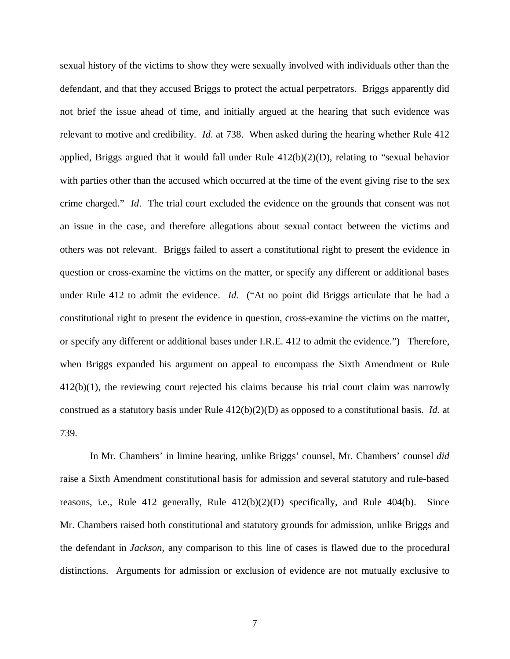sexual history of the victims to show they were sexually involved with individuals other than the defendant, and that they accused Briggs to protect the actual perpetrators. Briggs apparently did not brief the issue ahead of time, and initially argued at the hearing that such evidence was relevant to motive and credibility. *Id*. at 738. When asked during the hearing whether Rule 412 applied, Briggs argued that it would fall under Rule  $412(b)(2)(D)$ , relating to "sexual behavior" with parties other than the accused which occurred at the time of the event giving rise to the sex crime charged." *Id*. The trial court excluded the evidence on the grounds that consent was not an issue in the case, and therefore allegations about sexual contact between the victims and others was not relevant. Briggs failed to assert a constitutional right to present the evidence in question or cross-examine the victims on the matter, or specify any different or additional bases under Rule 412 to admit the evidence. *Id.* ("At no point did Briggs articulate that he had a constitutional right to present the evidence in question, cross-examine the victims on the matter, or specify any different or additional bases under I.R.E. 412 to admit the evidence.") Therefore, when Briggs expanded his argument on appeal to encompass the Sixth Amendment or Rule 412(b)(1), the reviewing court rejected his claims because his trial court claim was narrowly construed as a statutory basis under Rule 412(b)(2)(D) as opposed to a constitutional basis. *Id.* at 739.

In Mr. Chambers' in limine hearing, unlike Briggs' counsel, Mr. Chambers' counsel *did* raise a Sixth Amendment constitutional basis for admission and several statutory and rule-based reasons, i.e., Rule 412 generally, Rule 412(b)(2)(D) specifically, and Rule 404(b). Since Mr. Chambers raised both constitutional and statutory grounds for admission, unlike Briggs and the defendant in *Jackson,* any comparison to this line of cases is flawed due to the procedural distinctions. Arguments for admission or exclusion of evidence are not mutually exclusive to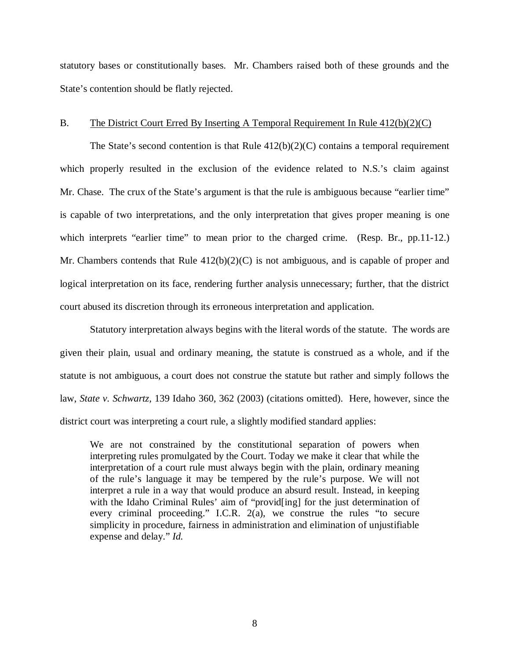statutory bases or constitutionally bases. Mr. Chambers raised both of these grounds and the State's contention should be flatly rejected.

#### B. The District Court Erred By Inserting A Temporal Requirement In Rule 412(b)(2)(C)

The State's second contention is that Rule  $412(b)(2)(C)$  contains a temporal requirement which properly resulted in the exclusion of the evidence related to N.S.'s claim against Mr. Chase. The crux of the State's argument is that the rule is ambiguous because "earlier time" is capable of two interpretations, and the only interpretation that gives proper meaning is one which interprets "earlier time" to mean prior to the charged crime. (Resp. Br., pp.11-12.) Mr. Chambers contends that Rule  $412(b)(2)(C)$  is not ambiguous, and is capable of proper and logical interpretation on its face, rendering further analysis unnecessary; further, that the district court abused its discretion through its erroneous interpretation and application.

Statutory interpretation always begins with the literal words of the statute. The words are given their plain, usual and ordinary meaning, the statute is construed as a whole, and if the statute is not ambiguous, a court does not construe the statute but rather and simply follows the law, *State v. Schwartz,* 139 Idaho 360, 362 (2003) (citations omitted). Here, however, since the district court was interpreting a court rule, a slightly modified standard applies:

We are not constrained by the constitutional separation of powers when interpreting rules promulgated by the Court. Today we make it clear that while the interpretation of a court rule must always begin with the plain, ordinary meaning of the rule's language it may be tempered by the rule's purpose. We will not interpret a rule in a way that would produce an absurd result. Instead, in keeping with the Idaho Criminal Rules' aim of "provid[ing] for the just determination of every criminal proceeding." I.C.R. 2(a), we construe the rules "to secure simplicity in procedure, fairness in administration and elimination of unjustifiable expense and delay." *Id.*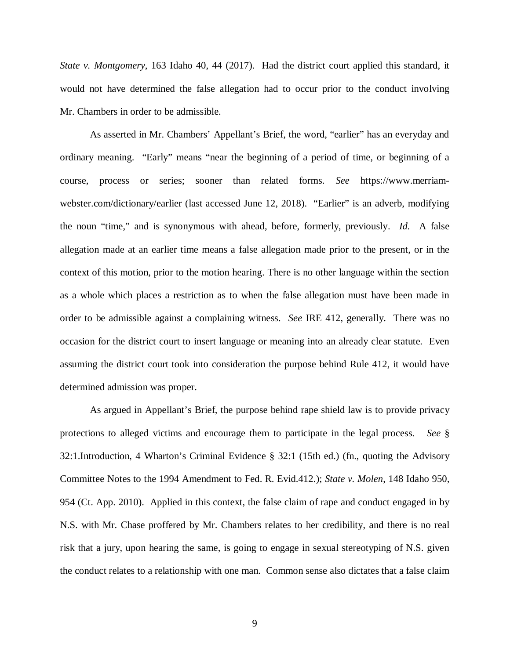*State v. Montgomery*, 163 Idaho 40, 44 (2017). Had the district court applied this standard, it would not have determined the false allegation had to occur prior to the conduct involving Mr. Chambers in order to be admissible.

As asserted in Mr. Chambers' Appellant's Brief, the word, "earlier" has an everyday and ordinary meaning. "Early" means "near the beginning of a period of time, or beginning of a course, process or series; sooner than related forms. *See* https://www.merriamwebster.com/dictionary/earlier (last accessed June 12, 2018). "Earlier" is an adverb, modifying the noun "time," and is synonymous with ahead, before, formerly, previously. *Id.* A false allegation made at an earlier time means a false allegation made prior to the present, or in the context of this motion, prior to the motion hearing. There is no other language within the section as a whole which places a restriction as to when the false allegation must have been made in order to be admissible against a complaining witness. *See* IRE 412, generally. There was no occasion for the district court to insert language or meaning into an already clear statute. Even assuming the district court took into consideration the purpose behind Rule 412, it would have determined admission was proper.

As argued in Appellant's Brief, the purpose behind rape shield law is to provide privacy protections to alleged victims and encourage them to participate in the legal process. *See* § 32:1.Introduction, 4 Wharton's Criminal Evidence § 32:1 (15th ed.) (fn., quoting the Advisory Committee Notes to the 1994 Amendment to Fed. R. Evid.412.); *State v. Molen*, 148 Idaho 950, 954 (Ct. App. 2010). Applied in this context, the false claim of rape and conduct engaged in by N.S. with Mr. Chase proffered by Mr. Chambers relates to her credibility, and there is no real risk that a jury, upon hearing the same, is going to engage in sexual stereotyping of N.S. given the conduct relates to a relationship with one man. Common sense also dictates that a false claim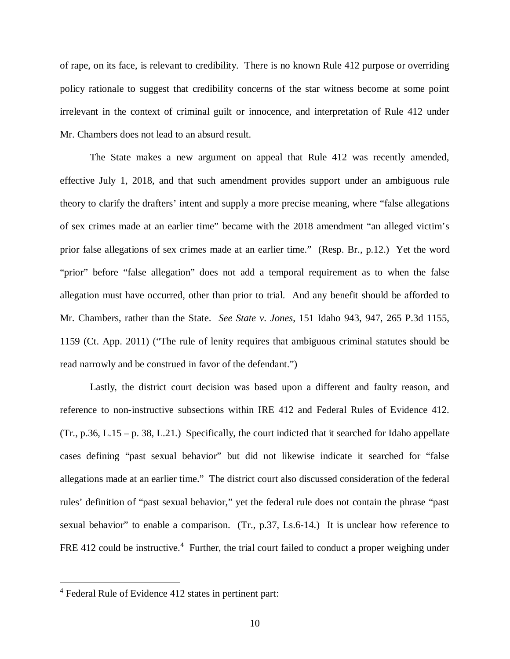of rape, on its face, is relevant to credibility. There is no known Rule 412 purpose or overriding policy rationale to suggest that credibility concerns of the star witness become at some point irrelevant in the context of criminal guilt or innocence, and interpretation of Rule 412 under Mr. Chambers does not lead to an absurd result.

The State makes a new argument on appeal that Rule 412 was recently amended, effective July 1, 2018, and that such amendment provides support under an ambiguous rule theory to clarify the drafters' intent and supply a more precise meaning, where "false allegations of sex crimes made at an earlier time" became with the 2018 amendment "an alleged victim's prior false allegations of sex crimes made at an earlier time." (Resp. Br., p.12.) Yet the word "prior" before "false allegation" does not add a temporal requirement as to when the false allegation must have occurred, other than prior to trial. And any benefit should be afforded to Mr. Chambers, rather than the State. *See State v. Jones*, 151 Idaho 943, 947, 265 P.3d 1155, 1159 (Ct. App. 2011) ("The rule of lenity requires that ambiguous criminal statutes should be read narrowly and be construed in favor of the defendant.")

Lastly, the district court decision was based upon a different and faulty reason, and reference to non-instructive subsections within IRE 412 and Federal Rules of Evidence 412. (Tr., p.36, L.15 – p. 38, L.21.) Specifically, the court indicted that it searched for Idaho appellate cases defining "past sexual behavior" but did not likewise indicate it searched for "false allegations made at an earlier time." The district court also discussed consideration of the federal rules' definition of "past sexual behavior," yet the federal rule does not contain the phrase "past sexual behavior" to enable a comparison. (Tr., p.37, Ls.6-14.) It is unclear how reference to FRE [4](#page-13-0)12 could be instructive.<sup>4</sup> Further, the trial court failed to conduct a proper weighing under

<span id="page-13-0"></span><sup>&</sup>lt;sup>4</sup> Federal Rule of Evidence 412 states in pertinent part: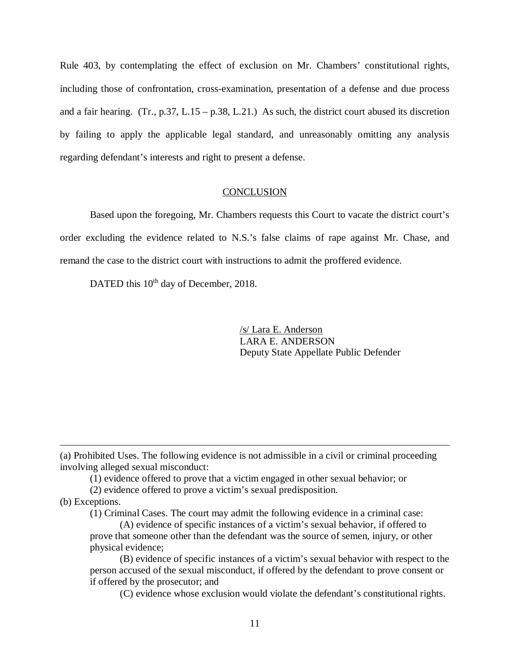Rule 403, by contemplating the effect of exclusion on Mr. Chambers' constitutional rights, including those of confrontation, cross-examination, presentation of a defense and due process and a fair hearing. (Tr., p.37, L.15 – p.38, L.21.) As such, the district court abused its discretion by failing to apply the applicable legal standard, and unreasonably omitting any analysis regarding defendant's interests and right to present a defense.

#### **CONCLUSION**

Based upon the foregoing, Mr. Chambers requests this Court to vacate the district court's order excluding the evidence related to N.S.'s false claims of rape against Mr. Chase, and remand the case to the district court with instructions to admit the proffered evidence.

DATED this 10<sup>th</sup> day of December, 2018.

/s/ Lara E. Anderson LARA E. ANDERSON Deputy State Appellate Public Defender

(a) Prohibited Uses. The following evidence is not admissible in a civil or criminal proceeding involving alleged sexual misconduct:

(1) evidence offered to prove that a victim engaged in other sexual behavior; or

(2) evidence offered to prove a victim's sexual predisposition.

(b) Exceptions.

(1) Criminal Cases. The court may admit the following evidence in a criminal case:

(A) evidence of specific instances of a victim's sexual behavior, if offered to prove that someone other than the defendant was the source of semen, injury, or other physical evidence;

(B) evidence of specific instances of a victim's sexual behavior with respect to the person accused of the sexual misconduct, if offered by the defendant to prove consent or if offered by the prosecutor; and

(C) evidence whose exclusion would violate the defendant's constitutional rights.